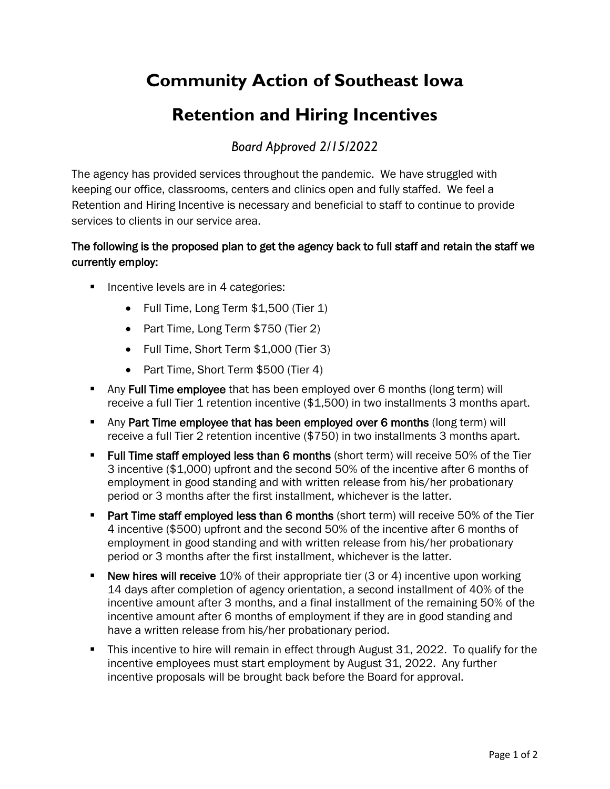## **Community Action of Southeast Iowa**

## **Retention and Hiring Incentives**

*Board Approved 2/15/2022*

The agency has provided services throughout the pandemic. We have struggled with keeping our office, classrooms, centers and clinics open and fully staffed. We feel a Retention and Hiring Incentive is necessary and beneficial to staff to continue to provide services to clients in our service area.

## The following is the proposed plan to get the agency back to full staff and retain the staff we currently employ:

- **Incentive levels are in 4 categories:** 
	- Full Time, Long Term \$1,500 (Tier 1)
	- Part Time, Long Term \$750 (Tier 2)
	- Full Time, Short Term \$1,000 (Tier 3)
	- Part Time, Short Term \$500 (Tier 4)
- Any Full Time employee that has been employed over 6 months (long term) will receive a full Tier 1 retention incentive (\$1,500) in two installments 3 months apart.
- Any Part Time employee that has been employed over 6 months (long term) will receive a full Tier 2 retention incentive (\$750) in two installments 3 months apart.
- **Full Time staff employed less than 6 months** (short term) will receive 50% of the Tier 3 incentive (\$1,000) upfront and the second 50% of the incentive after 6 months of employment in good standing and with written release from his/her probationary period or 3 months after the first installment, whichever is the latter.
- **Part Time staff employed less than 6 months** (short term) will receive 50% of the Tier 4 incentive (\$500) upfront and the second 50% of the incentive after 6 months of employment in good standing and with written release from his/her probationary period or 3 months after the first installment, whichever is the latter.
- New hires will receive 10% of their appropriate tier (3 or 4) incentive upon working 14 days after completion of agency orientation, a second installment of 40% of the incentive amount after 3 months, and a final installment of the remaining 50% of the incentive amount after 6 months of employment if they are in good standing and have a written release from his/her probationary period.
- This incentive to hire will remain in effect through August 31, 2022. To qualify for the incentive employees must start employment by August 31, 2022. Any further incentive proposals will be brought back before the Board for approval.